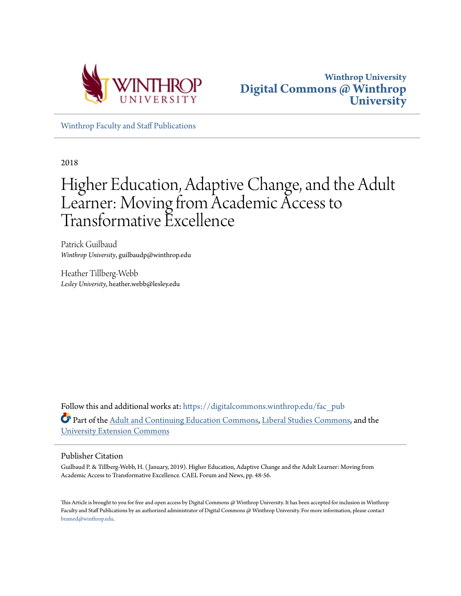



[Winthrop Faculty and Staff Publications](https://digitalcommons.winthrop.edu/fac_pub?utm_source=digitalcommons.winthrop.edu%2Ffac_pub%2F82&utm_medium=PDF&utm_campaign=PDFCoverPages)

2018

# Higher Education, Adaptive Change, and the Adult Learner: Moving from Academic Access to Transformative Excellence

Patrick Guilbaud *Winthrop University*, guilbaudp@winthrop.edu

Heather Tillberg-Webb *Lesley University*, heather.webb@lesley.edu

Follow this and additional works at: [https://digitalcommons.winthrop.edu/fac\\_pub](https://digitalcommons.winthrop.edu/fac_pub?utm_source=digitalcommons.winthrop.edu%2Ffac_pub%2F82&utm_medium=PDF&utm_campaign=PDFCoverPages) Part of the [Adult and Continuing Education Commons](http://network.bepress.com/hgg/discipline/1375?utm_source=digitalcommons.winthrop.edu%2Ffac_pub%2F82&utm_medium=PDF&utm_campaign=PDFCoverPages), [Liberal Studies Commons](http://network.bepress.com/hgg/discipline/1042?utm_source=digitalcommons.winthrop.edu%2Ffac_pub%2F82&utm_medium=PDF&utm_campaign=PDFCoverPages), and the [University Extension Commons](http://network.bepress.com/hgg/discipline/1361?utm_source=digitalcommons.winthrop.edu%2Ffac_pub%2F82&utm_medium=PDF&utm_campaign=PDFCoverPages)

#### Publisher Citation

Guilbaud P. & Tillberg-Webb, H. ( January, 2019). Higher Education, Adaptive Change and the Adult Learner: Moving from Academic Access to Transformative Excellence. CAEL Forum and News, pp. 48-56.

This Article is brought to you for free and open access by Digital Commons @ Winthrop University. It has been accepted for inclusion in Winthrop Faculty and Staff Publications by an authorized administrator of Digital Commons @ Winthrop University. For more information, please contact [bramed@winthrop.edu.](mailto:bramed@winthrop.edu)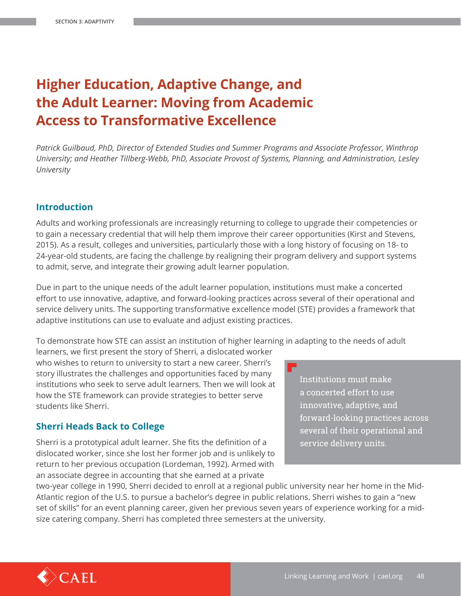## **Higher Education, Adaptive Change, and the Adult Learner: Moving from Academic Access to Transformative Excellence**

Patrick Guilbaud, PhD, Director of Extended Studies and Summer Programs and Associate Professor, Winthrop *University; and Heather Tillberg-Webb, PhD, Associate Provost of Systems, Planning, and Administration, Lesley University*

## **Introduction**

Adults and working professionals are increasingly returning to college to upgrade their competencies or to gain a necessary credential that will help them improve their career opportunities (Kirst and Stevens, 2015). As a result, colleges and universities, particularly those with a long history of focusing on 18- to 24-year-old students, are facing the challenge by realigning their program delivery and support systems to admit, serve, and integrate their growing adult learner population.

Due in part to the unique needs of the adult learner population, institutions must make a concerted effort to use innovative, adaptive, and forward-looking practices across several of their operational and service delivery units. The supporting transformative excellence model (STE) provides a framework that adaptive institutions can use to evaluate and adjust existing practices.

To demonstrate how STE can assist an institution of higher learning in adapting to the needs of adult

learners, we first present the story of Sherri, a dislocated worker who wishes to return to university to start a new career. Sherri's story illustrates the challenges and opportunities faced by many institutions who seek to serve adult learners. Then we will look at how the STE framework can provide strategies to better serve students like Sherri.

## **Sherri Heads Back to College**

Sherri is a prototypical adult learner. She fits the definition of a dislocated worker, since she lost her former job and is unlikely to return to her previous occupation (Lordeman, 1992). Armed with an associate degree in accounting that she earned at a private

Institutions must make a concerted effort to use innovative, adaptive, and forward-looking practices across several of their operational and service delivery units.

two-year college in 1990, Sherri decided to enroll at a regional public university near her home in the Mid-Atlantic region of the U.S. to pursue a bachelor's degree in public relations. Sherri wishes to gain a "new set of skills" for an event planning career, given her previous seven years of experience working for a midsize catering company. Sherri has completed three semesters at the university.

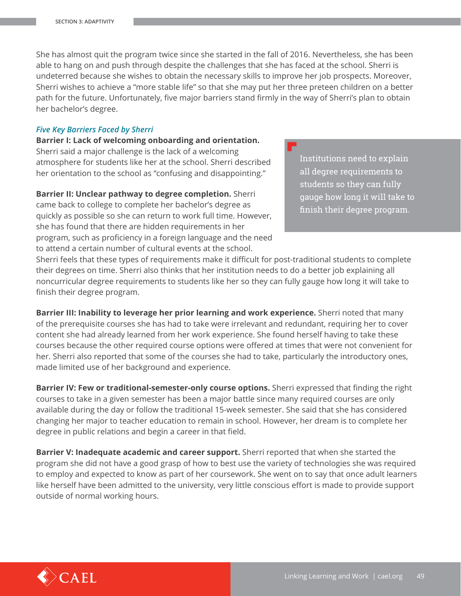She has almost quit the program twice since she started in the fall of 2016. Nevertheless, she has been able to hang on and push through despite the challenges that she has faced at the school. Sherri is undeterred because she wishes to obtain the necessary skills to improve her job prospects. Moreover, Sherri wishes to achieve a "more stable life" so that she may put her three preteen children on a better path for the future. Unfortunately, five major barriers stand firmly in the way of Sherri's plan to obtain her bachelor's degree.

#### *Five Key Barriers Faced by Sherri*

**Barrier I: Lack of welcoming onboarding and orientation.** Sherri said a major challenge is the lack of a welcoming atmosphere for students like her at the school. Sherri described her orientation to the school as "confusing and disappointing."

**Barrier II: Unclear pathway to degree completion.** Sherri came back to college to complete her bachelor's degree as quickly as possible so she can return to work full time. However, she has found that there are hidden requirements in her program, such as proficiency in a foreign language and the need to attend a certain number of cultural events at the school.

Institutions need to explain all degree requirements to students so they can fully gauge how long it will take to finish their degree program.

Sherri feels that these types of requirements make it difficult for post-traditional students to complete their degrees on time. Sherri also thinks that her institution needs to do a better job explaining all noncurricular degree requirements to students like her so they can fully gauge how long it will take to finish their degree program.

**Barrier III: Inability to leverage her prior learning and work experience.** Sherri noted that many of the prerequisite courses she has had to take were irrelevant and redundant, requiring her to cover content she had already learned from her work experience. She found herself having to take these courses because the other required course options were offered at times that were not convenient for her. Sherri also reported that some of the courses she had to take, particularly the introductory ones, made limited use of her background and experience.

**Barrier IV: Few or traditional-semester-only course options.** Sherri expressed that finding the right courses to take in a given semester has been a major battle since many required courses are only available during the day or follow the traditional 15-week semester. She said that she has considered changing her major to teacher education to remain in school. However, her dream is to complete her degree in public relations and begin a career in that field.

**Barrier V: Inadequate academic and career support.** Sherri reported that when she started the program she did not have a good grasp of how to best use the variety of technologies she was required to employ and expected to know as part of her coursework. She went on to say that once adult learners like herself have been admitted to the university, very little conscious effort is made to provide support outside of normal working hours.

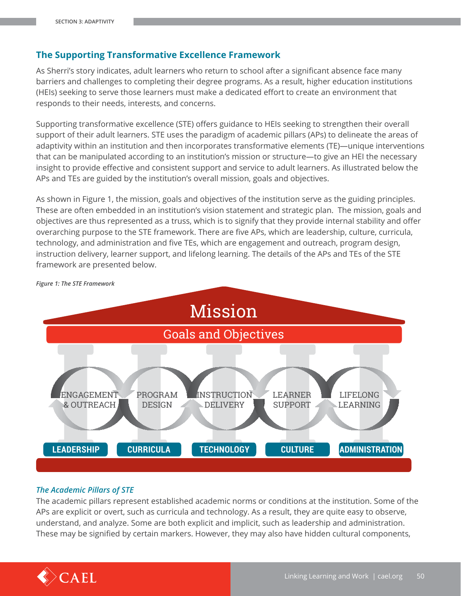## **The Supporting Transformative Excellence Framework**

As Sherri's story indicates, adult learners who return to school after a significant absence face many barriers and challenges to completing their degree programs. As a result, higher education institutions (HEIs) seeking to serve those learners must make a dedicated effort to create an environment that responds to their needs, interests, and concerns.

Supporting transformative excellence (STE) offers guidance to HEIs seeking to strengthen their overall support of their adult learners. STE uses the paradigm of academic pillars (APs) to delineate the areas of adaptivity within an institution and then incorporates transformative elements (TE)—unique interventions that can be manipulated according to an institution's mission or structure-to give an HEI the necessary insight to provide effective and consistent support and service to adult learners. As illustrated below the APs and TEs are guided by the institution's overall mission, goals and objectives.

As shown in Figure 1, the mission, goals and objectives of the institution serve as the guiding principles. These are often embedded in an institution's vision statement and strategic plan. The mission, goals and objectives are thus represented as a truss, which is to signify that they provide internal stability and offer overarching purpose to the STE framework. There are five APs, which are leadership, culture, curricula, technology, and administration and five TEs, which are engagement and outreach, program design, instruction delivery, learner support, and lifelong learning. The details of the APs and TEs of the STE framework are presented below.



*Figure 1: The STE Framework*

## *The Academic Pillars of STE*

The academic pillars represent established academic norms or conditions at the institution. Some of the APs are explicit or overt, such as curricula and technology. As a result, they are quite easy to observe, understand, and analyze. Some are both explicit and implicit, such as leadership and administration. These may be signified by certain markers. However, they may also have hidden cultural components,

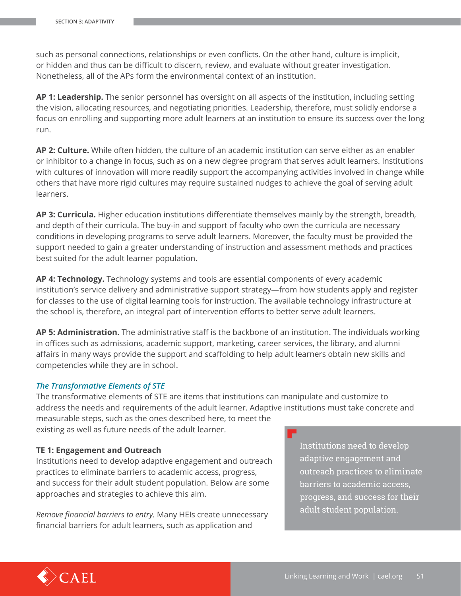such as personal connections, relationships or even conflicts. On the other hand, culture is implicit, or hidden and thus can be difficult to discern, review, and evaluate without greater investigation. Nonetheless, all of the APs form the environmental context of an institution.

AP 1: Leadership. The senior personnel has oversight on all aspects of the institution, including setting the vision, allocating resources, and negotiating priorities. Leadership, therefore, must solidly endorse a focus on enrolling and supporting more adult learners at an institution to ensure its success over the long run.

AP 2: Culture. While often hidden, the culture of an academic institution can serve either as an enabler or inhibitor to a change in focus, such as on a new degree program that serves adult learners. Institutions with cultures of innovation will more readily support the accompanying activities involved in change while others that have more rigid cultures may require sustained nudges to achieve the goal of serving adult learners.

AP 3: Curricula. Higher education institutions differentiate themselves mainly by the strength, breadth, and depth of their curricula. The buy-in and support of faculty who own the curricula are necessary conditions in developing programs to serve adult learners. Moreover, the faculty must be provided the support needed to gain a greater understanding of instruction and assessment methods and practices best suited for the adult learner population.

AP 4: Technology. Technology systems and tools are essential components of every academic institution's service delivery and administrative support strategy—from how students apply and register for classes to the use of digital learning tools for instruction. The available technology infrastructure at the school is, therefore, an integral part of intervention efforts to better serve adult learners.

AP 5: Administration. The administrative staff is the backbone of an institution. The individuals working in offices such as admissions, academic support, marketing, career services, the library, and alumni affairs in many ways provide the support and scaffolding to help adult learners obtain new skills and competencies while they are in school.

#### **The Transformative Elements of STE**

The transformative elements of STE are items that institutions can manipulate and customize to address the needs and requirements of the adult learner. Adaptive institutions must take concrete and measurable steps, such as the ones described here, to meet the existing as well as future needs of the adult learner.

#### TE 1: Engagement and Outreach

Institutions need to develop adaptive engagement and outreach practices to eliminate barriers to academic access, progress, and success for their adult student population. Below are some approaches and strategies to achieve this aim.

Remove financial barriers to entry. Many HEIs create unnecessary financial barriers for adult learners, such as application and

Institutions need to develop adaptive engagement and outreach practices to eliminate barriers to academic access. progress, and success for their adult student population.

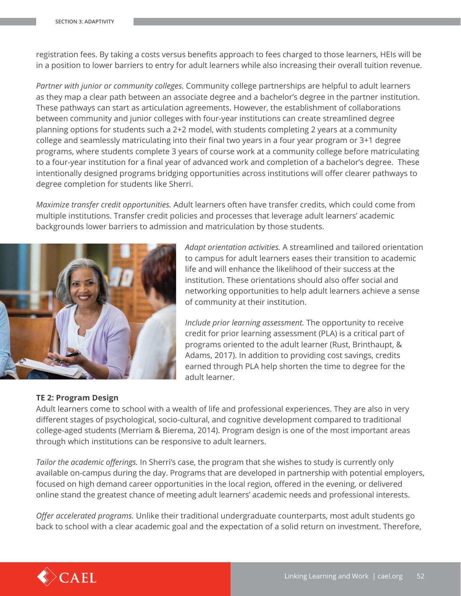registration fees. By taking a costs versus benefits approach to fees charged to those learners, HEIs will be in a position to lower barriers to entry for adult learners while also increasing their overall tuition revenue.

*Partner with junior or community colleges.* Community college partnerships are helpful to adult learners as they map a clear path between an associate degree and a bachelor's degree in the partner institution. These pathways can start as articulation agreements. However, the establishment of collaborations between community and junior colleges with four-year institutions can create streamlined degree planning options for students such a 2+2 model, with students completing 2 years at a community college and seamlessly matriculating into their final two years in a four year program or 3+1 degree programs, where students complete 3 years of course work at a community college before matriculating to a four-year institution for a final year of advanced work and completion of a bachelor's degree. These intentionally designed programs bridging opportunities across institutions will offer clearer pathways to degree completion for students like Sherri.

*Maximize transfer credit opportunities.* Adult learners often have transfer credits, which could come from multiple institutions. Transfer credit policies and processes that leverage adult learners' academic backgrounds lower barriers to admission and matriculation by those students.



*Adapt orientation activities.* A streamlined and tailored orientation to campus for adult learners eases their transition to academic life and will enhance the likelihood of their success at the institution. These orientations should also offer social and networking opportunities to help adult learners achieve a sense of community at their institution.

*Include prior learning assessment*. The opportunity to receive credit for prior learning assessment (PLA) is a critical part of programs oriented to the adult learner (Rust, Brinthaupt, & Adams, 2017). In addition to providing cost savings, credits earned through PLA help shorten the time to degree for the adult learner.

## **TE 2: Program Design**

Adult learners come to school with a wealth of life and professional experiences. They are also in very different stages of psychological, socio-cultural, and cognitive development compared to traditional college-aged students (Merriam & Bierema, 2014). Program design is one of the most important areas through which institutions can be responsive to adult learners.

*Tailor the academic offerings.* In Sherri's case, the program that she wishes to study is currently only available on-campus during the day. Programs that are developed in partnership with potential employers, focused on high demand career opportunities in the local region, offered in the evening, or delivered online stand the greatest chance of meeting adult learners' academic needs and professional interests.

*Offer accelerated programs.* Unlike their traditional undergraduate counterparts, most adult students go back to school with a clear academic goal and the expectation of a solid return on investment. Therefore,

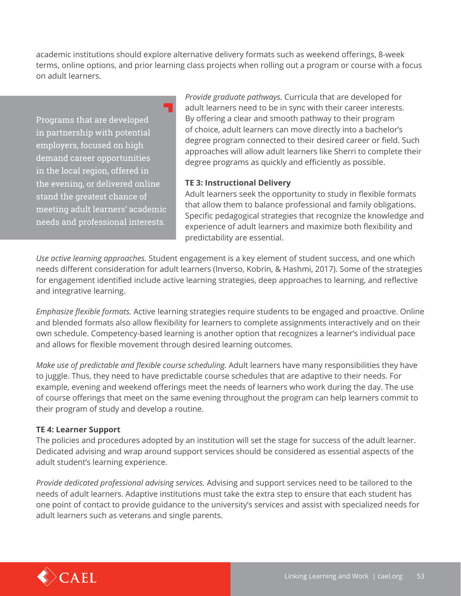academic institutions should explore alternative delivery formats such as weekend offerings, 8-week terms, online options, and prior learning class projects when rolling out a program or course with a focus on adult learners.

Programs that are developed in partnership with potential employers, focused on high demand career opportunities in the local region, offered in the evening, or delivered online stand the greatest chance of meeting adult learners' academic needs and professional interests.

*Provide graduate pathways.* Curricula that are developed for adult learners need to be in sync with their career interests. By offering a clear and smooth pathway to their program of choice, adult learners can move directly into a bachelor's degree program connected to their desired career or field. Such approaches will allow adult learners like Sherri to complete their degree programs as quickly and efficiently as possible.

## **TE 3: Instructional Delivery**

Adult learners seek the opportunity to study in flexible formats that allow them to balance professional and family obligations. Specific pedagogical strategies that recognize the knowledge and experience of adult learners and maximize both flexibility and predictability are essential.

*Use active learning approaches.* Student engagement is a key element of student success, and one which needs different consideration for adult learners (Inverso, Kobrin, & Hashmi, 2017). Some of the strategies for engagement identified include active learning strategies, deep approaches to learning, and reflective and integrative learning.

*Emphasize flexible formats.* Active learning strategies require students to be engaged and proactive. Online and blended formats also allow flexibility for learners to complete assignments interactively and on their own schedule. Competency-based learning is another option that recognizes a learner's individual pace and allows for flexible movement through desired learning outcomes.

*Make use of predictable and flexible course scheduling.* Adult learners have many responsibilities they have to juggle. Thus, they need to have predictable course schedules that are adaptive to their needs. For example, evening and weekend offerings meet the needs of learners who work during the day. The use of course offerings that meet on the same evening throughout the program can help learners commit to their program of study and develop a routine.

## **TE 4: Learner Support**

The policies and procedures adopted by an institution will set the stage for success of the adult learner. Dedicated advising and wrap around support services should be considered as essential aspects of the adult student's learning experience.

*Provide dedicated professional advising services.* Advising and support services need to be tailored to the needs of adult learners. Adaptive institutions must take the extra step to ensure that each student has one point of contact to provide guidance to the university's services and assist with specialized needs for adult learners such as veterans and single parents.

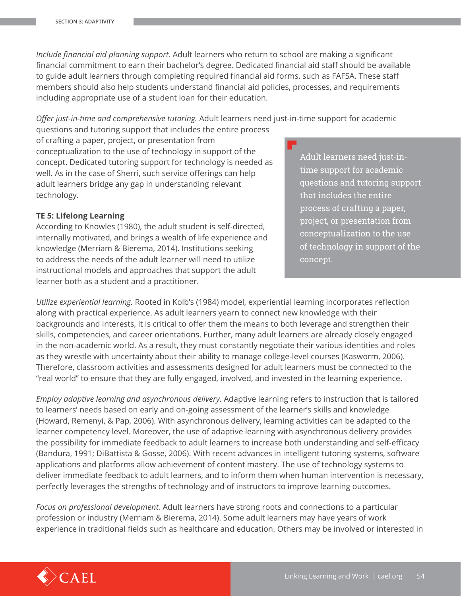Include financial aid planning support. Adult learners who return to school are making a significant financial commitment to earn their bachelor's degree. Dedicated financial aid staff should be available to guide adult learners through completing required financial aid forms, such as FAFSA. These staff members should also help students understand financial aid policies, processes, and requirements including appropriate use of a student loan for their education.

Offer just-in-time and comprehensive tutoring. Adult learners need just-in-time support for academic

questions and tutoring support that includes the entire process of crafting a paper, project, or presentation from conceptualization to the use of technology in support of the concept. Dedicated tutoring support for technology is needed as well. As in the case of Sherri, such service offerings can help adult learners bridge any gap in understanding relevant technology.

## **TE 5: Lifelong Learning**

According to Knowles (1980), the adult student is self-directed, internally motivated, and brings a wealth of life experience and knowledge (Merriam & Bierema, 2014). Institutions seeking to address the needs of the adult learner will need to utilize instructional models and approaches that support the adult learner both as a student and a practitioner.

<u>Adult learners need just-in-</u> time support for academic questions and tutoring support that includes the entire process of crafting a paper, project, or presentation from conceptualization to the use of technology in support of the concept.

Utilize experiential learning. Rooted in Kolb's (1984) model, experiential learning incorporates reflection along with practical experience. As adult learners yearn to connect new knowledge with their backgrounds and interests, it is critical to offer them the means to both leverage and strengthen their skills, competencies, and career orientations. Further, many adult learners are already closely engaged in the non-academic world. As a result, they must constantly negotiate their various identities and roles as they wrestle with uncertainty about their ability to manage college-level courses (Kasworm, 2006). Therefore, classroom activities and assessments designed for adult learners must be connected to the "real world" to ensure that they are fully engaged, involved, and invested in the learning experience.

Employ adaptive learning and asynchronous delivery. Adaptive learning refers to instruction that is tailored to learners' needs based on early and on-going assessment of the learner's skills and knowledge (Howard, Remenyi, & Pap, 2006). With asynchronous delivery, learning activities can be adapted to the learner competency level. Moreover, the use of adaptive learning with asynchronous delivery provides the possibility for immediate feedback to adult learners to increase both understanding and self-efficacy (Bandura, 1991; DiBattista & Gosse, 2006). With recent advances in intelligent tutoring systems, software applications and platforms allow achievement of content mastery. The use of technology systems to deliver immediate feedback to adult learners, and to inform them when human intervention is necessary, perfectly leverages the strengths of technology and of instructors to improve learning outcomes.

Focus on professional development. Adult learners have strong roots and connections to a particular profession or industry (Merriam & Bierema, 2014). Some adult learners may have years of work experience in traditional fields such as healthcare and education. Others may be involved or interested in

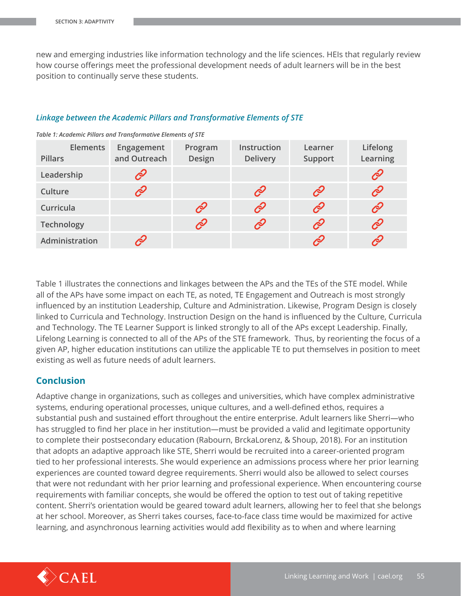new and emerging industries like information technology and the life sciences. HEIs that regularly review how course offerings meet the professional development needs of adult learners will be in the best position to continually serve these students.

## *Linkage between the Academic Pillars and Transformative Elements of STE*

| <b>Elements</b><br><b>Pillars</b> | Engagement<br>and Outreach | Program<br>Design | Instruction<br><b>Delivery</b> | Learner<br>Support | Lifelong<br>Learning |
|-----------------------------------|----------------------------|-------------------|--------------------------------|--------------------|----------------------|
| Leadership                        | Ô                          |                   |                                |                    | Ė                    |
| Culture                           | Ê                          |                   | $\mathscr{E}$                  | $\mathscr{E}$      | $\mathscr{E}$        |
| Curricula                         |                            | Ē                 | $\mathscr{E}$                  | $\mathscr{E}$      | $\mathscr{E}$        |
| Technology                        |                            | P                 | $\mathscr{E}$                  | $\mathscr{E}$      | $\mathscr{E}$        |
| Administration                    | Ç                          |                   |                                | $\mathscr{E}$      | P                    |

*Table 1: Academic Pillars and Transformative Elements of STE*

Table 1 illustrates the connections and linkages between the APs and the TEs of the STE model. While all of the APs have some impact on each TE, as noted, TE Engagement and Outreach is most strongly influenced by an institution Leadership, Culture and Administration. Likewise, Program Design is closely linked to Curricula and Technology. Instruction Design on the hand is influenced by the Culture, Curricula and Technology. The TE Learner Support is linked strongly to all of the APs except Leadership. Finally, Lifelong Learning is connected to all of the APs of the STE framework. Thus, by reorienting the focus of a given AP, higher education institutions can utilize the applicable TE to put themselves in position to meet existing as well as future needs of adult learners.

## **Conclusion**

Adaptive change in organizations, such as colleges and universities, which have complex administrative systems, enduring operational processes, unique cultures, and a well-defined ethos, requires a substantial push and sustained effort throughout the entire enterprise. Adult learners like Sherri-who has struggled to find her place in her institution—must be provided a valid and legitimate opportunity to complete their postsecondary education (Rabourn, BrckaLorenz, & Shoup, 2018). For an institution that adopts an adaptive approach like STE, Sherri would be recruited into a career-oriented program tied to her professional interests. She would experience an admissions process where her prior learning experiences are counted toward degree requirements. Sherri would also be allowed to select courses that were not redundant with her prior learning and professional experience. When encountering course requirements with familiar concepts, she would be offered the option to test out of taking repetitive content. Sherri's orientation would be geared toward adult learners, allowing her to feel that she belongs at her school. Moreover, as Sherri takes courses, face-to-face class time would be maximized for active learning, and asynchronous learning activities would add flexibility as to when and where learning